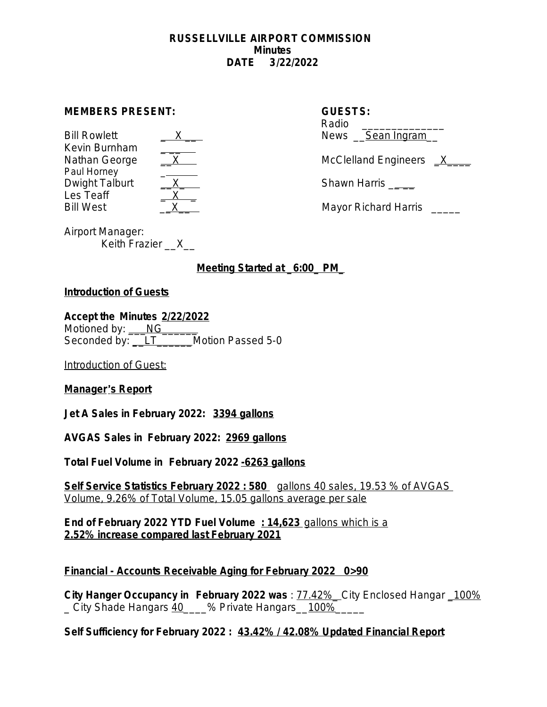#### **RUSSELLVILLE AIRPORT COMMISSION Minutes DATE 3/22/2022**

#### **MEMBERS PRESENT: GUESTS:**

| <b>Bill Rowlett</b> |  |
|---------------------|--|
| Kevin Burnham       |  |
| Nathan George       |  |
| Paul Horney         |  |
| Dwight Talburt      |  |
| Les Teaff           |  |
| <b>Bill West</b>    |  |

| $\rightarrow$<br>〈 __ |  |
|-----------------------|--|
|                       |  |
|                       |  |
|                       |  |
|                       |  |
|                       |  |
|                       |  |

# Radio News Sean Ingram McClelland Engineers X

Shawn Harris **Example** 

Mayor Richard Harris \_\_\_\_\_

Airport Manager: Keith Frazier \_\_X\_\_

# **Meeting Started at \_6:00\_ PM\_**

#### **Introduction of Guests**

**Accept the Minutes 2/22/2022** Motioned by: NG

Seconded by: <u>LT\_\_\_\_\_\_\_</u>Motion Passed 5-0

Introduction of Guest:

## **Manager**'**s Report**

**Jet A Sales in February 2022: 3394 gallons**

**AVGAS Sales in February 2022: 2969 gallons**

**Total Fuel Volume in February 2022 -6263 gallons**

**Self Service Statistics February 2022 : 580** gallons 40 sales, 19.53 % of AVGAS Volume, 9.26% of Total Volume, 15.05 gallons average per sale

**End of February 2022 YTD Fuel Volume : 14,623** gallons which is a **2.52% increase compared last February 2021**

## **Financial - Accounts Receivable Aging for February 2022 0>90**

**City Hanger Occupancy in February 2022 was** : 77.42%\_ City Enclosed Hangar \_100% City Shade Hangars 40\_\_\_\_% Private Hangars\_\_100%\_

**Self Sufficiency for February 2022 : 43.42% / 42.08% Updated Financial Report**